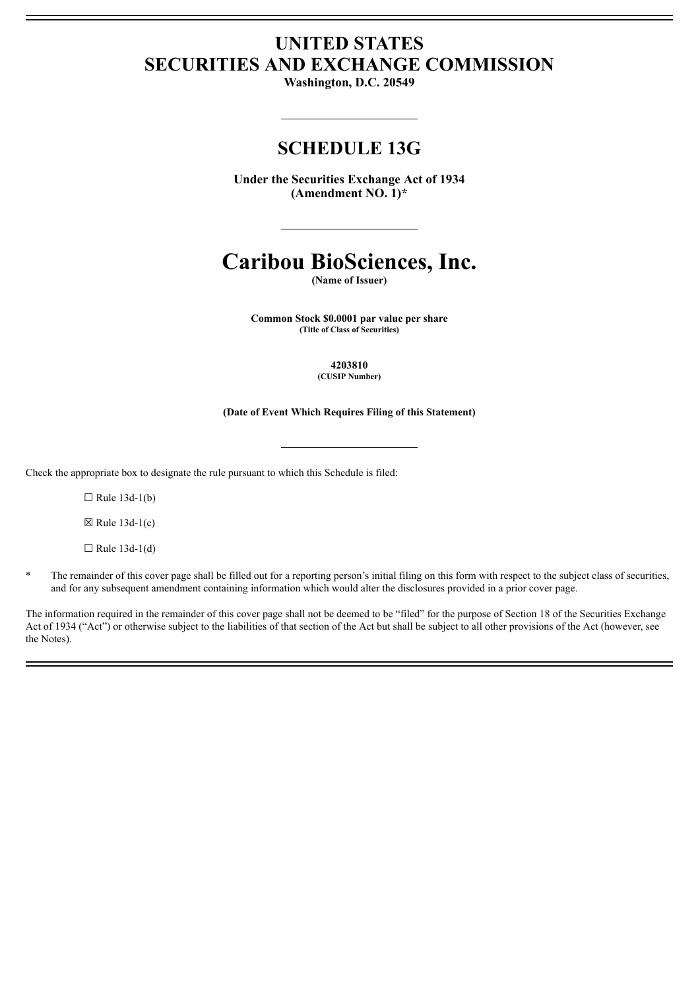# **UNITED STATES SECURITIES AND EXCHANGE COMMISSION**

**Washington, D.C. 20549**

# **SCHEDULE 13G**

**Under the Securities Exchange Act of 1934 (Amendment NO. 1)\***

# **Caribou BioSciences, Inc.**

**(Name of Issuer)**

**Common Stock \$0.0001 par value per share (Title of Class of Securities)**

> **4203810 (CUSIP Number)**

**(Date of Event Which Requires Filing of this Statement)**

Check the appropriate box to designate the rule pursuant to which this Schedule is filed:

 $\Box$  Rule 13d-1(b)

 $\boxtimes$  Rule 13d-1(c)

 $\Box$  Rule 13d-1(d)

\* The remainder of this cover page shall be filled out for a reporting person's initial filing on this form with respect to the subject class of securities, and for any subsequent amendment containing information which would alter the disclosures provided in a prior cover page.

The information required in the remainder of this cover page shall not be deemed to be "filed" for the purpose of Section 18 of the Securities Exchange Act of 1934 ("Act") or otherwise subject to the liabilities of that section of the Act but shall be subject to all other provisions of the Act (however, see the Notes).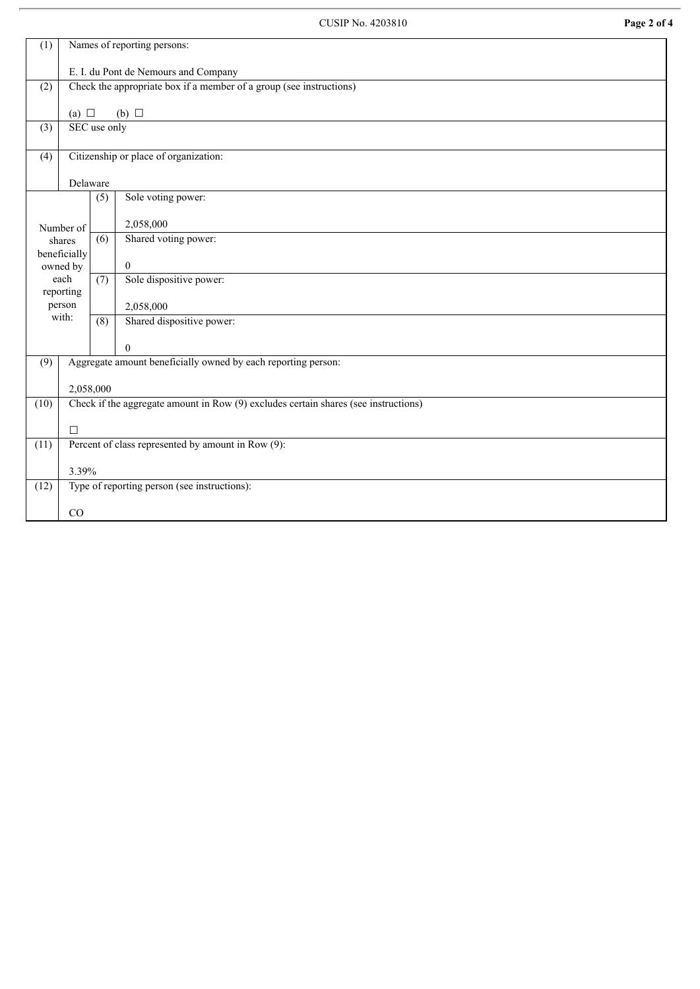| Names of reporting persons:<br>(1)                                   |                                                                                     |                  |                           |
|----------------------------------------------------------------------|-------------------------------------------------------------------------------------|------------------|---------------------------|
|                                                                      | E. I. du Pont de Nemours and Company                                                |                  |                           |
|                                                                      | Check the appropriate box if a member of a group (see instructions)<br>(2)          |                  |                           |
|                                                                      |                                                                                     |                  |                           |
|                                                                      | (a) $\Box$<br>$(b)$ $\square$                                                       |                  |                           |
| (3)                                                                  | SEC use only                                                                        |                  |                           |
| Citizenship or place of organization:<br>(4)                         |                                                                                     |                  |                           |
|                                                                      |                                                                                     |                  |                           |
|                                                                      | Delaware                                                                            |                  |                           |
|                                                                      |                                                                                     | (5)              | Sole voting power:        |
|                                                                      |                                                                                     |                  |                           |
|                                                                      | Number of                                                                           |                  | 2,058,000                 |
|                                                                      | shares                                                                              | (6)              | Shared voting power:      |
| beneficially<br>owned by<br>each                                     |                                                                                     |                  | $\mathbf{0}$              |
|                                                                      |                                                                                     | (7)              | Sole dispositive power:   |
| reporting                                                            |                                                                                     |                  |                           |
| person<br>with:                                                      |                                                                                     |                  | 2,058,000                 |
|                                                                      |                                                                                     | $\overline{(8)}$ | Shared dispositive power: |
|                                                                      |                                                                                     |                  | $\overline{0}$            |
| Aggregate amount beneficially owned by each reporting person:<br>(9) |                                                                                     |                  |                           |
|                                                                      |                                                                                     |                  |                           |
|                                                                      | 2,058,000                                                                           |                  |                           |
| (10)                                                                 | Check if the aggregate amount in Row (9) excludes certain shares (see instructions) |                  |                           |
|                                                                      | $\Box$                                                                              |                  |                           |
| (11)                                                                 | Percent of class represented by amount in Row (9):                                  |                  |                           |
|                                                                      |                                                                                     |                  |                           |
|                                                                      | 3.39%                                                                               |                  |                           |
| Type of reporting person (see instructions):<br>(12)                 |                                                                                     |                  |                           |
| CO                                                                   |                                                                                     |                  |                           |
|                                                                      |                                                                                     |                  |                           |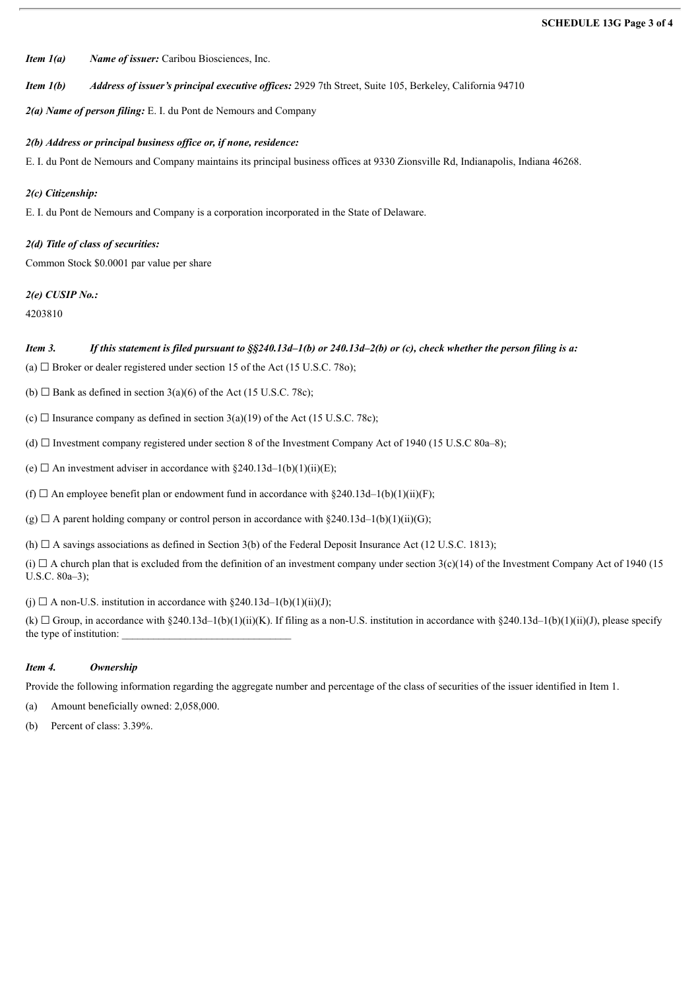*Item 1(a) Name of issuer:* Caribou Biosciences, Inc.

*Item 1(b) Address of issuer's principal executive of ices:* 2929 7th Street, Suite 105, Berkeley, California 94710

*2(a) Name of person filing:* E. I. du Pont de Nemours and Company

*2(b) Address or principal business of ice or, if none, residence:*

E. I. du Pont de Nemours and Company maintains its principal business offices at 9330 Zionsville Rd, Indianapolis, Indiana 46268.

## *2(c) Citizenship:*

E. I. du Pont de Nemours and Company is a corporation incorporated in the State of Delaware.

# *2(d) Title of class of securities:*

Common Stock \$0.0001 par value per share

### *2(e) CUSIP No.:*

4203810

# Item 3. If this statement is filed pursuant to  $\S$ \$240.13d-1(b) or 240.13d-2(b) or (c), check whether the person filing is a:

(a)  $\Box$  Broker or dealer registered under section 15 of the Act (15 U.S.C. 780);

(b)  $\Box$  Bank as defined in section 3(a)(6) of the Act (15 U.S.C. 78c);

(c)  $\Box$  Insurance company as defined in section 3(a)(19) of the Act (15 U.S.C. 78c);

(d) ☐ Investment company registered under section 8 of the Investment Company Act of 1940 (15 U.S.C 80a–8);

(e)  $\Box$  An investment adviser in accordance with §240.13d–1(b)(1)(ii)(E);

(f)  $\Box$  An employee benefit plan or endowment fund in accordance with §240.13d–1(b)(1)(ii)(F);

(g)  $\Box$  A parent holding company or control person in accordance with §240.13d–1(b)(1)(ii)(G);

(h)  $\Box$  A savings associations as defined in Section 3(b) of the Federal Deposit Insurance Act (12 U.S.C. 1813);

(i)  $\Box$  A church plan that is excluded from the definition of an investment company under section 3(c)(14) of the Investment Company Act of 1940 (15) U.S.C. 80a–3);

(i)  $\Box$  A non-U.S. institution in accordance with §240.13d–1(b)(1)(ii)(J);

(k)  $\Box$  Group, in accordance with §240.13d–1(b)(1)(ii)(K). If filing as a non-U.S. institution in accordance with §240.13d–1(b)(1)(ii)(J), please specify the type of institution:

## *Item 4. Ownership*

Provide the following information regarding the aggregate number and percentage of the class of securities of the issuer identified in Item 1.

(a) Amount beneficially owned: 2,058,000.

(b) Percent of class: 3.39%.